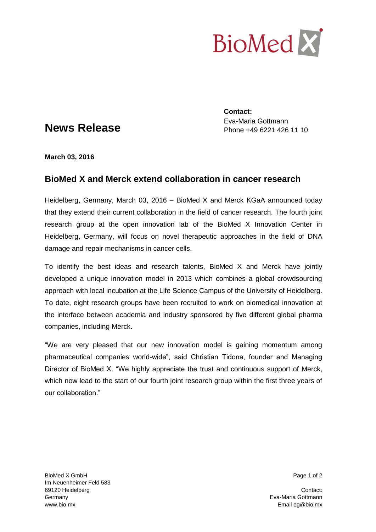

## **News Release**

**Contact:** Eva-Maria Gottmann Phone +49 6221 426 11 10

**March 03, 2016**

## **BioMed X and Merck extend collaboration in cancer research**

Heidelberg, Germany, March 03, 2016 – BioMed X and Merck KGaA announced today that they extend their current collaboration in the field of cancer research. The fourth joint research group at the open innovation lab of the BioMed X Innovation Center in Heidelberg, Germany, will focus on novel therapeutic approaches in the field of DNA damage and repair mechanisms in cancer cells.

To identify the best ideas and research talents, BioMed X and Merck have jointly developed a unique innovation model in 2013 which combines a global crowdsourcing approach with local incubation at the Life Science Campus of the University of Heidelberg. To date, eight research groups have been recruited to work on biomedical innovation at the interface between academia and industry sponsored by five different global pharma companies, including Merck.

"We are very pleased that our new innovation model is gaining momentum among pharmaceutical companies world-wide", said Christian Tidona, founder and Managing Director of BioMed X. "We highly appreciate the trust and continuous support of Merck, which now lead to the start of our fourth joint research group within the first three years of our collaboration."

BioMed X GmbH Page 1 of 2 Im Neuenheimer Feld 583 69120 Heidelberg Contact: Germany Eva-Maria Gottmann www.bio.mx **Email eg@bio.mx** Email eg@bio.mx